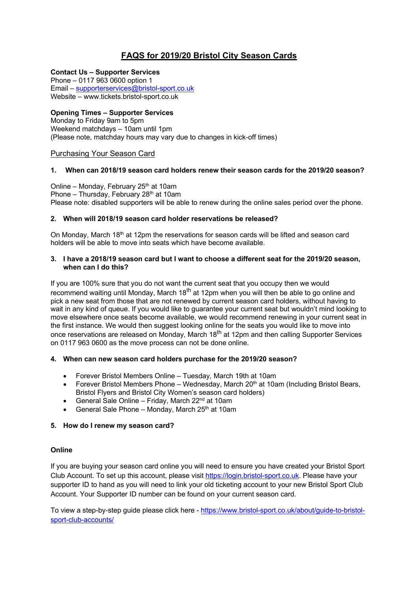## **FAQS for 2019/20 Bristol City Season Cards**

## **Contact Us – Supporter Services**

Phone – 0117 963 0600 option 1 Email – supporterservices@bristol-sport.co.uk Website – www.tickets.bristol-sport.co.uk

## **Opening Times – Supporter Services**

Monday to Friday 9am to 5pm Weekend matchdays – 10am until 1pm (Please note, matchday hours may vary due to changes in kick-off times)

Purchasing Your Season Card

## **1. When can 2018/19 season card holders renew their season cards for the 2019/20 season?**

Online – Monday, February 25<sup>th</sup> at 10am Phone – Thursday, February  $28<sup>th</sup>$  at 10am Please note: disabled supporters will be able to renew during the online sales period over the phone.

## **2. When will 2018/19 season card holder reservations be released?**

On Monday, March  $18<sup>th</sup>$  at 12pm the reservations for season cards will be lifted and season card holders will be able to move into seats which have become available.

#### **3. I have a 2018/19 season card but I want to choose a different seat for the 2019/20 season, when can I do this?**

If you are 100% sure that you do not want the current seat that you occupy then we would recommend waiting until Monday, March  $18<sup>th</sup>$  at 12pm when you will then be able to go online and pick a new seat from those that are not renewed by current season card holders, without having to wait in any kind of queue. If you would like to guarantee your current seat but wouldn't mind looking to move elsewhere once seats become available, we would recommend renewing in your current seat in the first instance. We would then suggest looking online for the seats you would like to move into once reservations are released on Monday, March 18<sup>th</sup> at 12pm and then calling Supporter Services on 0117 963 0600 as the move process can not be done online.

## **4. When can new season card holders purchase for the 2019/20 season?**

- Forever Bristol Members Online Tuesday, March 19th at 10am
- Forever Bristol Members Phone Wednesday, March  $20<sup>th</sup>$  at 10am (Including Bristol Bears, Bristol Flyers and Bristol City Women's season card holders)
- General Sale Online Friday, March 22<sup>nd</sup> at 10am
- General Sale Phone Monday, March  $25<sup>th</sup>$  at 10am

## **5. How do I renew my season card?**

## **Online**

If you are buying your season card online you will need to ensure you have created your Bristol Sport Club Account. To set up this account, please visit https://login.bristol-sport.co.uk. Please have your supporter ID to hand as you will need to link your old ticketing account to your new Bristol Sport Club Account. Your Supporter ID number can be found on your current season card.

To view a step-by-step guide please click here - https://www.bristol-sport.co.uk/about/guide-to-bristolsport-club-accounts/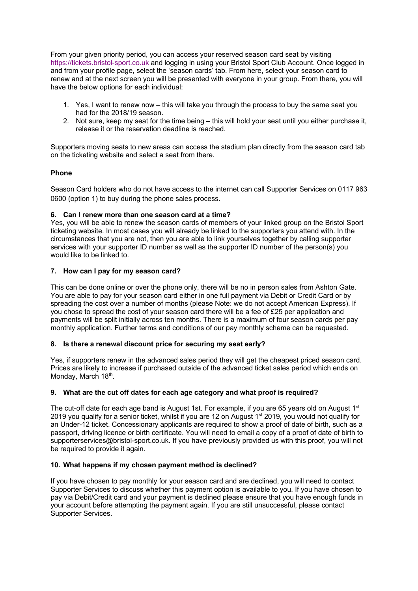From your given priority period, you can access your reserved season card seat by visiting https://tickets.bristol-sport.co.uk and logging in using your Bristol Sport Club Account. Once logged in and from your profile page, select the 'season cards' tab. From here, select your season card to renew and at the next screen you will be presented with everyone in your group. From there, you will have the below options for each individual:

- 1. Yes, I want to renew now this will take you through the process to buy the same seat you had for the 2018/19 season.
- 2. Not sure, keep my seat for the time being this will hold your seat until you either purchase it, release it or the reservation deadline is reached.

Supporters moving seats to new areas can access the stadium plan directly from the season card tab on the ticketing website and select a seat from there.

## **Phone**

Season Card holders who do not have access to the internet can call Supporter Services on 0117 963 0600 (option 1) to buy during the phone sales process.

## **6. Can I renew more than one season card at a time?**

Yes, you will be able to renew the season cards of members of your linked group on the Bristol Sport ticketing website. In most cases you will already be linked to the supporters you attend with. In the circumstances that you are not, then you are able to link yourselves together by calling supporter services with your supporter ID number as well as the supporter ID number of the person(s) you would like to be linked to.

## **7. How can I pay for my season card?**

This can be done online or over the phone only, there will be no in person sales from Ashton Gate. You are able to pay for your season card either in one full payment via Debit or Credit Card or by spreading the cost over a number of months (please Note: we do not accept American Express). If you chose to spread the cost of your season card there will be a fee of £25 per application and payments will be split initially across ten months. There is a maximum of four season cards per pay monthly application. Further terms and conditions of our pay monthly scheme can be requested.

## **8. Is there a renewal discount price for securing my seat early?**

Yes, if supporters renew in the advanced sales period they will get the cheapest priced season card. Prices are likely to increase if purchased outside of the advanced ticket sales period which ends on Monday, March 18th.

## **9. What are the cut off dates for each age category and what proof is required?**

The cut-off date for each age band is August 1st. For example, if you are 65 years old on August 1<sup>st</sup> 2019 you qualify for a senior ticket, whilst if you are 12 on August 1<sup>st</sup> 2019, you would not qualify for an Under-12 ticket. Concessionary applicants are required to show a proof of date of birth, such as a passport, driving licence or birth certificate. You will need to email a copy of a proof of date of birth to supporterservices@bristol-sport.co.uk. If you have previously provided us with this proof, you will not be required to provide it again.

## **10. What happens if my chosen payment method is declined?**

If you have chosen to pay monthly for your season card and are declined, you will need to contact Supporter Services to discuss whether this payment option is available to you. If you have chosen to pay via Debit/Credit card and your payment is declined please ensure that you have enough funds in your account before attempting the payment again. If you are still unsuccessful, please contact Supporter Services.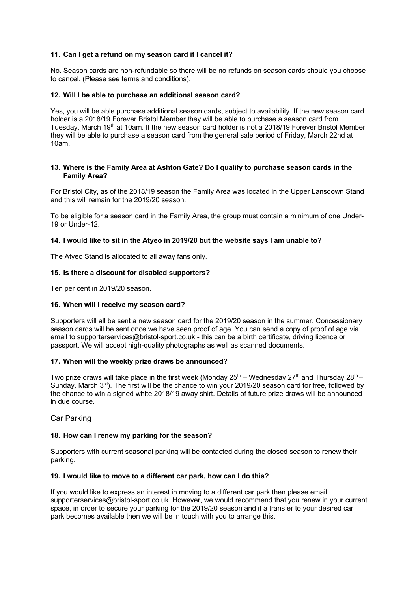## **11. Can I get a refund on my season card if I cancel it?**

No. Season cards are non-refundable so there will be no refunds on season cards should you choose to cancel. (Please see terms and conditions).

## **12. Will I be able to purchase an additional season card?**

Yes, you will be able purchase additional season cards, subject to availability. If the new season card holder is a 2018/19 Forever Bristol Member they will be able to purchase a season card from Tuesday, March 19<sup>th</sup> at 10am. If the new season card holder is not a 2018/19 Forever Bristol Member they will be able to purchase a season card from the general sale period of Friday, March 22nd at 10am.

#### **13. Where is the Family Area at Ashton Gate? Do I qualify to purchase season cards in the Family Area?**

For Bristol City, as of the 2018/19 season the Family Area was located in the Upper Lansdown Stand and this will remain for the 2019/20 season.

To be eligible for a season card in the Family Area, the group must contain a minimum of one Under-19 or Under-12.

#### **14. I would like to sit in the Atyeo in 2019/20 but the website says I am unable to?**

The Atyeo Stand is allocated to all away fans only.

## **15. Is there a discount for disabled supporters?**

Ten per cent in 2019/20 season.

#### **16. When will I receive my season card?**

Supporters will all be sent a new season card for the 2019/20 season in the summer. Concessionary season cards will be sent once we have seen proof of age. You can send a copy of proof of age via email to supporterservices@bristol-sport.co.uk - this can be a birth certificate, driving licence or passport. We will accept high-quality photographs as well as scanned documents.

#### **17. When will the weekly prize draws be announced?**

Two prize draws will take place in the first week (Monday  $25^{th}$  – Wednesday  $27^{th}$  and Thursday  $28^{th}$  – Sunday, March  $3<sup>rd</sup>$ ). The first will be the chance to win your 2019/20 season card for free, followed by the chance to win a signed white 2018/19 away shirt. Details of future prize draws will be announced in due course.

#### Car Parking

#### **18. How can I renew my parking for the season?**

Supporters with current seasonal parking will be contacted during the closed season to renew their parking.

#### **19. I would like to move to a different car park, how can I do this?**

If you would like to express an interest in moving to a different car park then please email supporterservices@bristol-sport.co.uk. However, we would recommend that you renew in your current space, in order to secure your parking for the 2019/20 season and if a transfer to your desired car park becomes available then we will be in touch with you to arrange this.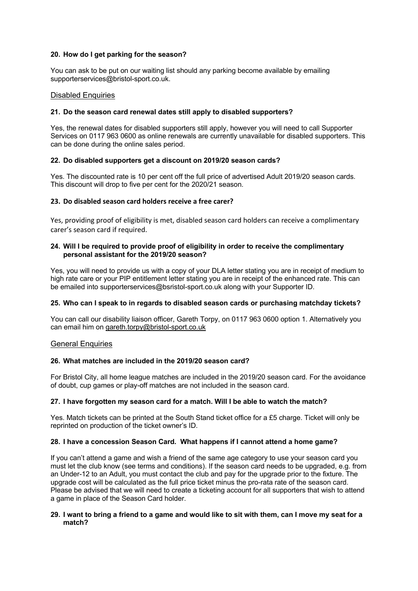#### **20. How do I get parking for the season?**

You can ask to be put on our waiting list should any parking become available by emailing supporterservices@bristol-sport.co.uk.

#### Disabled Enquiries

#### **21. Do the season card renewal dates still apply to disabled supporters?**

Yes, the renewal dates for disabled supporters still apply, however you will need to call Supporter Services on 0117 963 0600 as online renewals are currently unavailable for disabled supporters. This can be done during the online sales period.

#### **22. Do disabled supporters get a discount on 2019/20 season cards?**

Yes. The discounted rate is 10 per cent off the full price of advertised Adult 2019/20 season cards. This discount will drop to five per cent for the 2020/21 season.

#### **23. Do disabled season card holders receive a free carer?**

Yes, providing proof of eligibility is met, disabled season card holders can receive a complimentary carer's season card if required.

#### **24. Will I be required to provide proof of eligibility in order to receive the complimentary personal assistant for the 2019/20 season?**

Yes, you will need to provide us with a copy of your DLA letter stating you are in receipt of medium to high rate care or your PIP entitlement letter stating you are in receipt of the enhanced rate. This can be emailed into supporterservices@bsristol-sport.co.uk along with your Supporter ID.

#### **25. Who can I speak to in regards to disabled season cards or purchasing matchday tickets?**

You can call our disability liaison officer, Gareth Torpy, on 0117 963 0600 option 1. Alternatively you can email him on gareth.torpy@bristol-sport.co.uk

#### **General Enquiries**

## **26. What matches are included in the 2019/20 season card?**

For Bristol City, all home league matches are included in the 2019/20 season card. For the avoidance of doubt, cup games or play-off matches are not included in the season card.

#### **27. I have forgotten my season card for a match. Will I be able to watch the match?**

Yes. Match tickets can be printed at the South Stand ticket office for a £5 charge. Ticket will only be reprinted on production of the ticket owner's ID.

#### **28. I have a concession Season Card. What happens if I cannot attend a home game?**

If you can't attend a game and wish a friend of the same age category to use your season card you must let the club know (see terms and conditions). If the season card needs to be upgraded, e.g. from an Under-12 to an Adult, you must contact the club and pay for the upgrade prior to the fixture. The upgrade cost will be calculated as the full price ticket minus the pro-rata rate of the season card. Please be advised that we will need to create a ticketing account for all supporters that wish to attend a game in place of the Season Card holder.

#### **29. I want to bring a friend to a game and would like to sit with them, can I move my seat for a match?**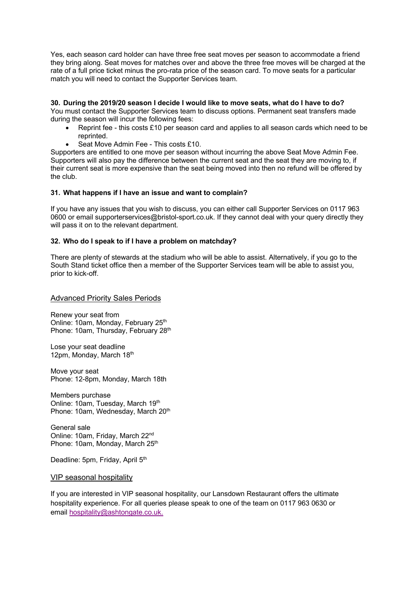Yes, each season card holder can have three free seat moves per season to accommodate a friend they bring along. Seat moves for matches over and above the three free moves will be charged at the rate of a full price ticket minus the pro-rata price of the season card. To move seats for a particular match you will need to contact the Supporter Services team.

#### **30. During the 2019/20 season I decide I would like to move seats, what do I have to do?**

You must contact the Supporter Services team to discuss options. Permanent seat transfers made during the season will incur the following fees:

- Reprint fee this costs £10 per season card and applies to all season cards which need to be reprinted.
- Seat Move Admin Fee This costs £10.

Supporters are entitled to one move per season without incurring the above Seat Move Admin Fee. Supporters will also pay the difference between the current seat and the seat they are moving to, if their current seat is more expensive than the seat being moved into then no refund will be offered by the club.

#### **31. What happens if I have an issue and want to complain?**

If you have any issues that you wish to discuss, you can either call Supporter Services on 0117 963 0600 or email supporterservices@bristol-sport.co.uk. If they cannot deal with your query directly they will pass it on to the relevant department.

#### **32. Who do I speak to if I have a problem on matchday?**

There are plenty of stewards at the stadium who will be able to assist. Alternatively, if you go to the South Stand ticket office then a member of the Supporter Services team will be able to assist you, prior to kick-off.

Advanced Priority Sales Periods

Renew your seat from Online: 10am, Monday, February 25<sup>th</sup> Phone: 10am, Thursday, February 28th

Lose your seat deadline 12pm, Monday, March 18th

Move your seat Phone: 12-8pm, Monday, March 18th

Members purchase Online: 10am, Tuesday, March 19th Phone: 10am, Wednesday, March 20<sup>th</sup>

General sale Online: 10am, Friday, March 22nd Phone: 10am, Monday, March 25<sup>th</sup>

Deadline: 5pm, Friday, April 5<sup>th</sup>

VIP seasonal hospitality

If you are interested in VIP seasonal hospitality, our Lansdown Restaurant offers the ultimate hospitality experience. For all queries please speak to one of the team on 0117 963 0630 or email hospitality@ashtongate.co.uk.